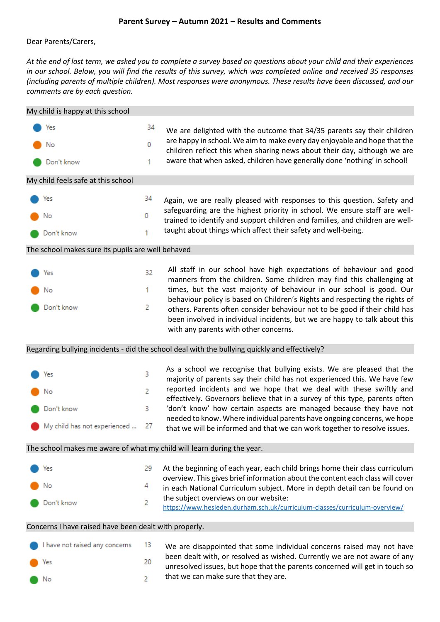## **Parent Survey – Autumn 2021 – Results and Comments**

Dear Parents/Carers,

*At the end of last term, we asked you to complete a survey based on questions about your child and their experiences in our school. Below, you will find the results of this survey, which was completed online and received 35 responses (including parents of multiple children). Most responses were anonymous. These results have been discussed, and our comments are by each question.*

| My child is happy at this school                                                              |                                                       |        |                                                                                                                                                                                                                                         |  |  |  |
|-----------------------------------------------------------------------------------------------|-------------------------------------------------------|--------|-----------------------------------------------------------------------------------------------------------------------------------------------------------------------------------------------------------------------------------------|--|--|--|
|                                                                                               | Yes                                                   | 34     | We are delighted with the outcome that 34/35 parents say their children                                                                                                                                                                 |  |  |  |
|                                                                                               | No                                                    | 0      | are happy in school. We aim to make every day enjoyable and hope that the<br>children reflect this when sharing news about their day, although we are                                                                                   |  |  |  |
|                                                                                               | Don't know                                            | 1      | aware that when asked, children have generally done 'nothing' in school!                                                                                                                                                                |  |  |  |
| My child feels safe at this school                                                            |                                                       |        |                                                                                                                                                                                                                                         |  |  |  |
|                                                                                               | Yes                                                   | 34     | Again, we are really pleased with responses to this question. Safety and                                                                                                                                                                |  |  |  |
|                                                                                               | No                                                    | 0      | safeguarding are the highest priority in school. We ensure staff are well-<br>trained to identify and support children and families, and children are well-                                                                             |  |  |  |
|                                                                                               | Don't know                                            | 1      | taught about things which affect their safety and well-being.                                                                                                                                                                           |  |  |  |
| The school makes sure its pupils are well behaved                                             |                                                       |        |                                                                                                                                                                                                                                         |  |  |  |
|                                                                                               | Yes                                                   | 32     | All staff in our school have high expectations of behaviour and good<br>manners from the children. Some children may find this challenging at                                                                                           |  |  |  |
|                                                                                               | No                                                    | 1      | times, but the vast majority of behaviour in our school is good. Our                                                                                                                                                                    |  |  |  |
|                                                                                               | Don't know                                            | 2      | behaviour policy is based on Children's Rights and respecting the rights of<br>others. Parents often consider behaviour not to be good if their child has<br>been involved in individual incidents, but we are happy to talk about this |  |  |  |
|                                                                                               |                                                       |        | with any parents with other concerns.                                                                                                                                                                                                   |  |  |  |
| Regarding bullying incidents - did the school deal with the bullying quickly and effectively? |                                                       |        |                                                                                                                                                                                                                                         |  |  |  |
|                                                                                               |                                                       |        |                                                                                                                                                                                                                                         |  |  |  |
|                                                                                               | Yes                                                   | 3      | As a school we recognise that bullying exists. We are pleased that the                                                                                                                                                                  |  |  |  |
|                                                                                               | No                                                    | 2      | majority of parents say their child has not experienced this. We have few<br>reported incidents and we hope that we deal with these swiftly and                                                                                         |  |  |  |
|                                                                                               | Don't know                                            | 3      | effectively. Governors believe that in a survey of this type, parents often<br>'don't know' how certain aspects are managed because they have not                                                                                       |  |  |  |
|                                                                                               | My child has not experienced                          | 27     | needed to know. Where individual parents have ongoing concerns, we hope<br>that we will be informed and that we can work together to resolve issues.                                                                                    |  |  |  |
|                                                                                               |                                                       |        | The school makes me aware of what my child will learn during the year.                                                                                                                                                                  |  |  |  |
|                                                                                               |                                                       |        |                                                                                                                                                                                                                                         |  |  |  |
|                                                                                               | Yes                                                   | 29     | At the beginning of each year, each child brings home their class curriculum<br>overview. This gives brief information about the content each class will cover                                                                          |  |  |  |
|                                                                                               | No<br>Don't know                                      | 4<br>2 | in each National Curriculum subject. More in depth detail can be found on<br>the subject overviews on our website:                                                                                                                      |  |  |  |
|                                                                                               |                                                       |        | https://www.hesleden.durham.sch.uk/curriculum-classes/curriculum-overview/                                                                                                                                                              |  |  |  |
|                                                                                               | Concerns I have raised have been dealt with properly. |        |                                                                                                                                                                                                                                         |  |  |  |
|                                                                                               | have not raised any concerns                          | 13     | We are disappointed that some individual concerns raised may not have                                                                                                                                                                   |  |  |  |
|                                                                                               | Yes                                                   | 20     | been dealt with, or resolved as wished. Currently we are not aware of any<br>unresolved issues, but hope that the parents concerned will get in touch so                                                                                |  |  |  |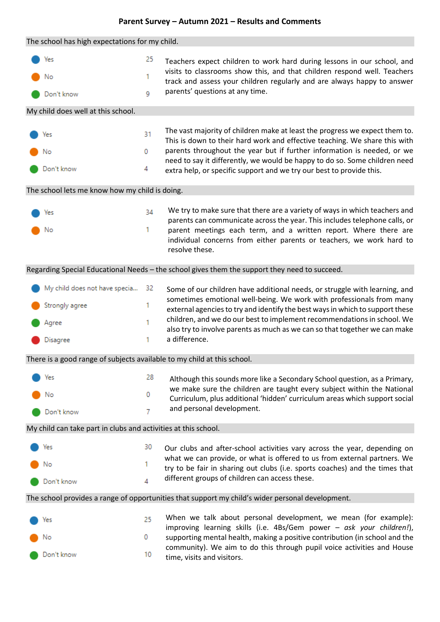## **Parent Survey – Autumn 2021 – Results and Comments**

| The school has high expectations for my child.                                                   |                               |         |                                                                                                                                                                                                                                                             |  |  |  |
|--------------------------------------------------------------------------------------------------|-------------------------------|---------|-------------------------------------------------------------------------------------------------------------------------------------------------------------------------------------------------------------------------------------------------------------|--|--|--|
|                                                                                                  | Yes<br>No                     | 25<br>1 | Teachers expect children to work hard during lessons in our school, and<br>visits to classrooms show this, and that children respond well. Teachers<br>track and assess your children regularly and are always happy to answer                              |  |  |  |
|                                                                                                  | Don't know                    | 9       | parents' questions at any time.                                                                                                                                                                                                                             |  |  |  |
| My child does well at this school.                                                               |                               |         |                                                                                                                                                                                                                                                             |  |  |  |
|                                                                                                  |                               |         |                                                                                                                                                                                                                                                             |  |  |  |
|                                                                                                  | Yes                           | 31      | The vast majority of children make at least the progress we expect them to.<br>This is down to their hard work and effective teaching. We share this with                                                                                                   |  |  |  |
|                                                                                                  | No                            | 0       | parents throughout the year but if further information is needed, or we<br>need to say it differently, we would be happy to do so. Some children need                                                                                                       |  |  |  |
|                                                                                                  | Don't know                    | 4       | extra help, or specific support and we try our best to provide this.                                                                                                                                                                                        |  |  |  |
| The school lets me know how my child is doing.                                                   |                               |         |                                                                                                                                                                                                                                                             |  |  |  |
|                                                                                                  | Yes                           | 34      | We try to make sure that there are a variety of ways in which teachers and<br>parents can communicate across the year. This includes telephone calls, or                                                                                                    |  |  |  |
|                                                                                                  | No                            | 1       | parent meetings each term, and a written report. Where there are<br>individual concerns from either parents or teachers, we work hard to<br>resolve these.                                                                                                  |  |  |  |
| Regarding Special Educational Needs - the school gives them the support they need to succeed.    |                               |         |                                                                                                                                                                                                                                                             |  |  |  |
|                                                                                                  | My child does not have specia | 32      |                                                                                                                                                                                                                                                             |  |  |  |
|                                                                                                  | Strongly agree                | 1       | Some of our children have additional needs, or struggle with learning, and<br>sometimes emotional well-being. We work with professionals from many                                                                                                          |  |  |  |
|                                                                                                  | Agree                         | 1       | external agencies to try and identify the best ways in which to support these<br>children, and we do our best to implement recommendations in school. We<br>also try to involve parents as much as we can so that together we can make                      |  |  |  |
|                                                                                                  | Disagree                      | 1       | a difference.                                                                                                                                                                                                                                               |  |  |  |
| There is a good range of subjects available to my child at this school.                          |                               |         |                                                                                                                                                                                                                                                             |  |  |  |
|                                                                                                  | Yes                           | 28      | Although this sounds more like a Secondary School question, as a Primary,                                                                                                                                                                                   |  |  |  |
|                                                                                                  | No                            | 0       | we make sure the children are taught every subject within the National<br>Curriculum, plus additional 'hidden' curriculum areas which support social                                                                                                        |  |  |  |
|                                                                                                  | Don't know                    | 7       | and personal development.                                                                                                                                                                                                                                   |  |  |  |
| My child can take part in clubs and activities at this school.                                   |                               |         |                                                                                                                                                                                                                                                             |  |  |  |
|                                                                                                  | Yes                           | 30      | Our clubs and after-school activities vary across the year, depending on                                                                                                                                                                                    |  |  |  |
|                                                                                                  | No                            | 1       | what we can provide, or what is offered to us from external partners. We<br>try to be fair in sharing out clubs (i.e. sports coaches) and the times that                                                                                                    |  |  |  |
|                                                                                                  | Don't know                    | 4       | different groups of children can access these.                                                                                                                                                                                                              |  |  |  |
| The school provides a range of opportunities that support my child's wider personal development. |                               |         |                                                                                                                                                                                                                                                             |  |  |  |
|                                                                                                  | Yes                           | 25      | When we talk about personal development, we mean (for example):                                                                                                                                                                                             |  |  |  |
|                                                                                                  | No                            | 0       | improving learning skills (i.e. 4Bs/Gem power - ask your children!),<br>supporting mental health, making a positive contribution (in school and the<br>community). We aim to do this through pupil voice activities and House<br>time, visits and visitors. |  |  |  |
|                                                                                                  | Don't know                    | 10      |                                                                                                                                                                                                                                                             |  |  |  |